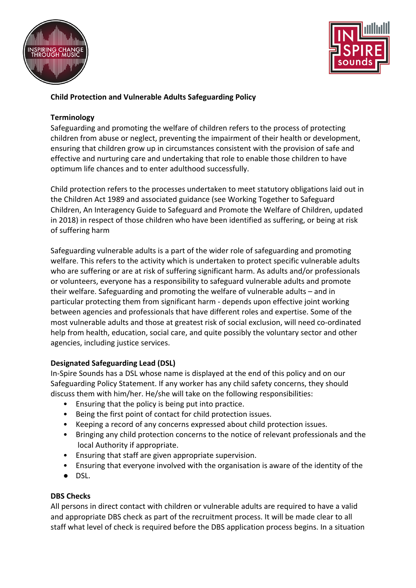



# **Child Protection and Vulnerable Adults Safeguarding Policy**

## **Terminology**

Safeguarding and promoting the welfare of children refers to the process of protecting children from abuse or neglect, preventing the impairment of their health or development, ensuring that children grow up in circumstances consistent with the provision of safe and effective and nurturing care and undertaking that role to enable those children to have optimum life chances and to enter adulthood successfully.

Child protection refers to the processes undertaken to meet statutory obligations laid out in the Children Act 1989 and associated guidance (see Working Together to Safeguard Children, An Interagency Guide to Safeguard and Promote the Welfare of Children, updated in 2018) in respect of those children who have been identified as suffering, or being at risk of suffering harm

Safeguarding vulnerable adults is a part of the wider role of safeguarding and promoting welfare. This refers to the activity which is undertaken to protect specific vulnerable adults who are suffering or are at risk of suffering significant harm. As adults and/or professionals or volunteers, everyone has a responsibility to safeguard vulnerable adults and promote their welfare. Safeguarding and promoting the welfare of vulnerable adults – and in particular protecting them from significant harm - depends upon effective joint working between agencies and professionals that have different roles and expertise. Some of the most vulnerable adults and those at greatest risk of social exclusion, will need co-ordinated help from health, education, social care, and quite possibly the voluntary sector and other agencies, including justice services.

## **Designated Safeguarding Lead (DSL)**

In-Spire Sounds has a DSL whose name is displayed at the end of this policy and on our Safeguarding Policy Statement. If any worker has any child safety concerns, they should discuss them with him/her. He/she will take on the following responsibilities:

- Ensuring that the policy is being put into practice.
- Being the first point of contact for child protection issues.
- Keeping a record of any concerns expressed about child protection issues.
- Bringing any child protection concerns to the notice of relevant professionals and the local Authority if appropriate.
- Ensuring that staff are given appropriate supervision.
- Ensuring that everyone involved with the organisation is aware of the identity of the
- DSL.

## **DBS Checks**

All persons in direct contact with children or vulnerable adults are required to have a valid and appropriate DBS check as part of the recruitment process. It will be made clear to all staff what level of check is required before the DBS application process begins. In a situation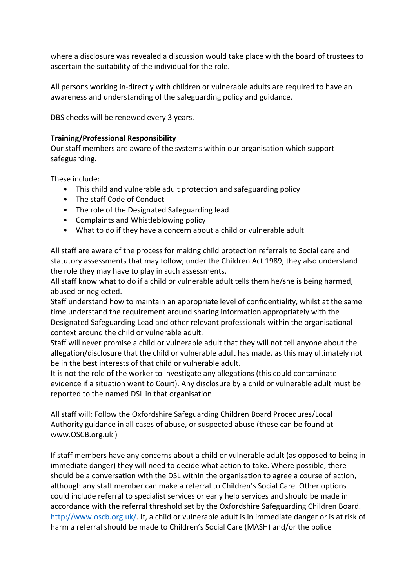where a disclosure was revealed a discussion would take place with the board of trustees to ascertain the suitability of the individual for the role.

All persons working in-directly with children or vulnerable adults are required to have an awareness and understanding of the safeguarding policy and guidance.

DBS checks will be renewed every 3 years.

### **Training/Professional Responsibility**

Our staff members are aware of the systems within our organisation which support safeguarding.

These include:

- This child and vulnerable adult protection and safeguarding policy
- The staff Code of Conduct
- The role of the Designated Safeguarding lead
- Complaints and Whistleblowing policy
- What to do if they have a concern about a child or vulnerable adult

All staff are aware of the process for making child protection referrals to Social care and statutory assessments that may follow, under the Children Act 1989, they also understand the role they may have to play in such assessments.

All staff know what to do if a child or vulnerable adult tells them he/she is being harmed, abused or neglected.

Staff understand how to maintain an appropriate level of confidentiality, whilst at the same time understand the requirement around sharing information appropriately with the Designated Safeguarding Lead and other relevant professionals within the organisational context around the child or vulnerable adult.

Staff will never promise a child or vulnerable adult that they will not tell anyone about the allegation/disclosure that the child or vulnerable adult has made, as this may ultimately not be in the best interests of that child or vulnerable adult.

It is not the role of the worker to investigate any allegations (this could contaminate evidence if a situation went to Court). Any disclosure by a child or vulnerable adult must be reported to the named DSL in that organisation.

All staff will: Follow the Oxfordshire Safeguarding Children Board Procedures/Local Authority guidance in all cases of abuse, or suspected abuse (these can be found at www.OSCB.org.uk )

If staff members have any concerns about a child or vulnerable adult (as opposed to being in immediate danger) they will need to decide what action to take. Where possible, there should be a conversation with the DSL within the organisation to agree a course of action, although any staff member can make a referral to Children's Social Care. Other options could include referral to specialist services or early help services and should be made in accordance with the referral threshold set by the Oxfordshire Safeguarding Children Board. http://www.oscb.org.uk/. If, a child or vulnerable adult is in immediate danger or is at risk of harm a referral should be made to Children's Social Care (MASH) and/or the police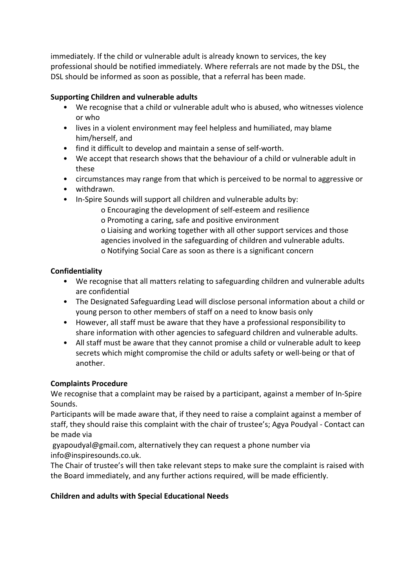immediately. If the child or vulnerable adult is already known to services, the key professional should be notified immediately. Where referrals are not made by the DSL, the DSL should be informed as soon as possible, that a referral has been made.

## **Supporting Children and vulnerable adults**

- We recognise that a child or vulnerable adult who is abused, who witnesses violence or who
- lives in a violent environment may feel helpless and humiliated, may blame him/herself, and
- find it difficult to develop and maintain a sense of self-worth.
- We accept that research shows that the behaviour of a child or vulnerable adult in these
- circumstances may range from that which is perceived to be normal to aggressive or
- withdrawn.
- In-Spire Sounds will support all children and vulnerable adults by:
	- o Encouraging the development of self-esteem and resilience
	- o Promoting a caring, safe and positive environment
	- o Liaising and working together with all other support services and those agencies involved in the safeguarding of children and vulnerable adults.
	- o Notifying Social Care as soon as there is a significant concern

## **Confidentiality**

- We recognise that all matters relating to safeguarding children and vulnerable adults are confidential
- The Designated Safeguarding Lead will disclose personal information about a child or young person to other members of staff on a need to know basis only
- However, all staff must be aware that they have a professional responsibility to share information with other agencies to safeguard children and vulnerable adults.
- All staff must be aware that they cannot promise a child or vulnerable adult to keep secrets which might compromise the child or adults safety or well-being or that of another.

## **Complaints Procedure**

We recognise that a complaint may be raised by a participant, against a member of In-Spire Sounds.

Participants will be made aware that, if they need to raise a complaint against a member of staff, they should raise this complaint with the chair of trustee's; Agya Poudyal - Contact can be made via

gyapoudyal@gmail.com, alternatively they can request a phone number via info@inspiresounds.co.uk.

The Chair of trustee's will then take relevant steps to make sure the complaint is raised with the Board immediately, and any further actions required, will be made efficiently.

## **Children and adults with Special Educational Needs**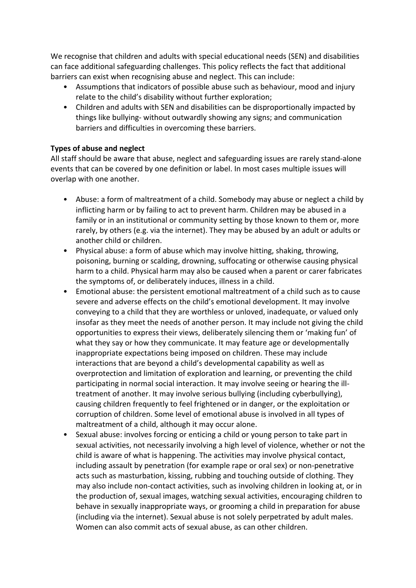We recognise that children and adults with special educational needs (SEN) and disabilities can face additional safeguarding challenges. This policy reflects the fact that additional barriers can exist when recognising abuse and neglect. This can include:

- Assumptions that indicators of possible abuse such as behaviour, mood and injury relate to the child's disability without further exploration;
- Children and adults with SEN and disabilities can be disproportionally impacted by things like bullying- without outwardly showing any signs; and communication barriers and difficulties in overcoming these barriers.

### **Types of abuse and neglect**

All staff should be aware that abuse, neglect and safeguarding issues are rarely stand-alone events that can be covered by one definition or label. In most cases multiple issues will overlap with one another.

- Abuse: a form of maltreatment of a child. Somebody may abuse or neglect a child by inflicting harm or by failing to act to prevent harm. Children may be abused in a family or in an institutional or community setting by those known to them or, more rarely, by others (e.g. via the internet). They may be abused by an adult or adults or another child or children.
- Physical abuse: a form of abuse which may involve hitting, shaking, throwing, poisoning, burning or scalding, drowning, suffocating or otherwise causing physical harm to a child. Physical harm may also be caused when a parent or carer fabricates the symptoms of, or deliberately induces, illness in a child.
- Emotional abuse: the persistent emotional maltreatment of a child such as to cause severe and adverse effects on the child's emotional development. It may involve conveying to a child that they are worthless or unloved, inadequate, or valued only insofar as they meet the needs of another person. It may include not giving the child opportunities to express their views, deliberately silencing them or 'making fun' of what they say or how they communicate. It may feature age or developmentally inappropriate expectations being imposed on children. These may include interactions that are beyond a child's developmental capability as well as overprotection and limitation of exploration and learning, or preventing the child participating in normal social interaction. It may involve seeing or hearing the illtreatment of another. It may involve serious bullying (including cyberbullying), causing children frequently to feel frightened or in danger, or the exploitation or corruption of children. Some level of emotional abuse is involved in all types of maltreatment of a child, although it may occur alone.
- Sexual abuse: involves forcing or enticing a child or young person to take part in sexual activities, not necessarily involving a high level of violence, whether or not the child is aware of what is happening. The activities may involve physical contact, including assault by penetration (for example rape or oral sex) or non-penetrative acts such as masturbation, kissing, rubbing and touching outside of clothing. They may also include non-contact activities, such as involving children in looking at, or in the production of, sexual images, watching sexual activities, encouraging children to behave in sexually inappropriate ways, or grooming a child in preparation for abuse (including via the internet). Sexual abuse is not solely perpetrated by adult males. Women can also commit acts of sexual abuse, as can other children.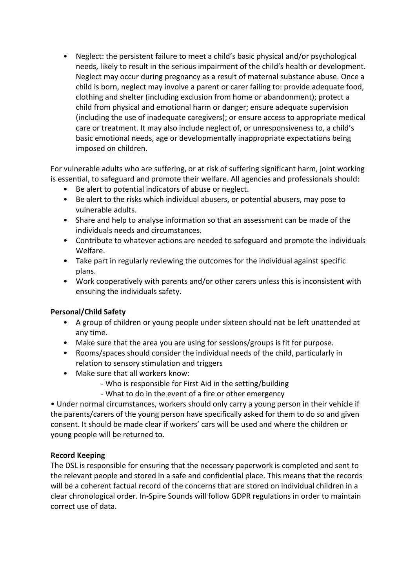• Neglect: the persistent failure to meet a child's basic physical and/or psychological needs, likely to result in the serious impairment of the child's health or development. Neglect may occur during pregnancy as a result of maternal substance abuse. Once a child is born, neglect may involve a parent or carer failing to: provide adequate food, clothing and shelter (including exclusion from home or abandonment); protect a child from physical and emotional harm or danger; ensure adequate supervision (including the use of inadequate caregivers); or ensure access to appropriate medical care or treatment. It may also include neglect of, or unresponsiveness to, a child's basic emotional needs, age or developmentally inappropriate expectations being imposed on children.

For vulnerable adults who are suffering, or at risk of suffering significant harm, joint working is essential, to safeguard and promote their welfare. All agencies and professionals should:

- Be alert to potential indicators of abuse or neglect.
- Be alert to the risks which individual abusers, or potential abusers, may pose to vulnerable adults.
- Share and help to analyse information so that an assessment can be made of the individuals needs and circumstances.
- Contribute to whatever actions are needed to safeguard and promote the individuals Welfare.
- Take part in regularly reviewing the outcomes for the individual against specific plans.
- Work cooperatively with parents and/or other carers unless this is inconsistent with ensuring the individuals safety.

## **Personal/Child Safety**

- A group of children or young people under sixteen should not be left unattended at any time.
- Make sure that the area you are using for sessions/groups is fit for purpose.
- Rooms/spaces should consider the individual needs of the child, particularly in relation to sensory stimulation and triggers
- Make sure that all workers know:
	- Who is responsible for First Aid in the setting/building
	- What to do in the event of a fire or other emergency

• Under normal circumstances, workers should only carry a young person in their vehicle if the parents/carers of the young person have specifically asked for them to do so and given consent. It should be made clear if workers' cars will be used and where the children or young people will be returned to.

## **Record Keeping**

The DSL is responsible for ensuring that the necessary paperwork is completed and sent to the relevant people and stored in a safe and confidential place. This means that the records will be a coherent factual record of the concerns that are stored on individual children in a clear chronological order. In-Spire Sounds will follow GDPR regulations in order to maintain correct use of data.